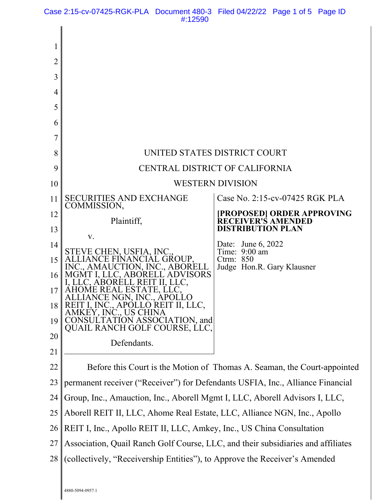Case 2:15-cv-07425-RGK-PLA Document 480-3 Filed 04/22/22 Page 1 of 5 Page ID #:12590

| 1  |                                                                                  |                                                         |
|----|----------------------------------------------------------------------------------|---------------------------------------------------------|
| 2  |                                                                                  |                                                         |
| 3  |                                                                                  |                                                         |
| 4  |                                                                                  |                                                         |
| 5  |                                                                                  |                                                         |
| 6  |                                                                                  |                                                         |
| 7  |                                                                                  |                                                         |
| 8  | UNITED STATES DISTRICT COURT                                                     |                                                         |
| 9  | CENTRAL DISTRICT OF CALIFORNIA                                                   |                                                         |
| 10 | <b>WESTERN DIVISION</b>                                                          |                                                         |
| 11 | <b>SECURITIES AND EXCHANGE</b><br>COMMISSION,                                    | Case No. 2:15-cv-07425 RGK PLA                          |
| 12 | Plaintiff,                                                                       | [PROPOSED] ORDER APPROVING<br><b>RECEIVER'S AMENDED</b> |
| 13 | V.                                                                               | <b>DISTRIBUTION PLAN</b>                                |
| 14 | STEVE CHEN, USFIA, INC                                                           | June 6, 2022<br>Date:<br>Time: $9:00$ am                |
| 15 | GROUP.<br>UTION, INC ABORELL                                                     | Ctrm: $850$<br>Judge Hon.R. Gary Klausner               |
| 16 | VISORS                                                                           |                                                         |
| 17 |                                                                                  |                                                         |
| 18 | I, INC., APOLLO REIT II, LLC,<br>AMKEY, INC., US CHINA                           |                                                         |
| 19 | CONSULTATION ASSOCIATION, and<br>QUAIL RANCH GOLF COURSE, LLC,                   |                                                         |
| 20 | Defendants.                                                                      |                                                         |
| 21 |                                                                                  |                                                         |
| 22 | Before this Court is the Motion of Thomas A. Seaman, the Court-appointed         |                                                         |
| 23 | permanent receiver ("Receiver") for Defendants USFIA, Inc., Alliance Financial   |                                                         |
| 24 | Group, Inc., Amauction, Inc., Aborell Mgmt I, LLC, Aborell Advisors I, LLC,      |                                                         |
| 25 | Aborell REIT II, LLC, Ahome Real Estate, LLC, Alliance NGN, Inc., Apollo         |                                                         |
| 26 | REIT I, Inc., Apollo REIT II, LLC, Amkey, Inc., US China Consultation            |                                                         |
| 27 | Association, Quail Ranch Golf Course, LLC, and their subsidiaries and affiliates |                                                         |
| 28 | (collectively, "Receivership Entities"), to Approve the Receiver's Amended       |                                                         |
|    |                                                                                  |                                                         |

4880-5094-0957.1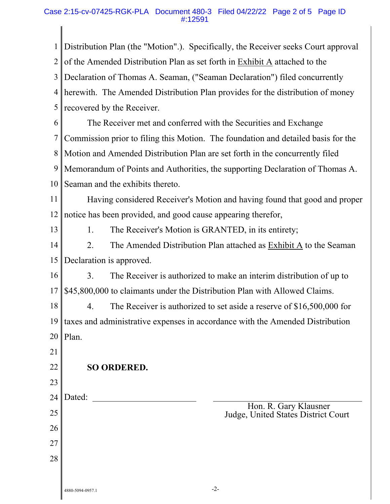## Case 2:15-cv-07425-RGK-PLA Document 480-3 Filed 04/22/22 Page 2 of 5 Page ID #:12591

| $\mathbf{1}$   | Distribution Plan (the "Motion".). Specifically, the Receiver seeks Court approval |  |  |
|----------------|------------------------------------------------------------------------------------|--|--|
| $\overline{2}$ | of the Amended Distribution Plan as set forth in Exhibit A attached to the         |  |  |
| 3              | Declaration of Thomas A. Seaman, ("Seaman Declaration") filed concurrently         |  |  |
| 4              | herewith. The Amended Distribution Plan provides for the distribution of money     |  |  |
| 5              | recovered by the Receiver.                                                         |  |  |
| 6              | The Receiver met and conferred with the Securities and Exchange                    |  |  |
| 7              | Commission prior to filing this Motion. The foundation and detailed basis for the  |  |  |
| 8              | Motion and Amended Distribution Plan are set forth in the concurrently filed       |  |  |
| 9              | Memorandum of Points and Authorities, the supporting Declaration of Thomas A.      |  |  |
| 10             | Seaman and the exhibits thereto.                                                   |  |  |
| 11             | Having considered Receiver's Motion and having found that good and proper          |  |  |
| 12             | notice has been provided, and good cause appearing therefor,                       |  |  |
| 13             | The Receiver's Motion is GRANTED, in its entirety;<br>1.                           |  |  |
| 14             | 2.<br>The Amended Distribution Plan attached as Exhibit A to the Seaman            |  |  |
| 15             | Declaration is approved.                                                           |  |  |
| 16             | 3.<br>The Receiver is authorized to make an interim distribution of up to          |  |  |
| 17             | \$45,800,000 to claimants under the Distribution Plan with Allowed Claims.         |  |  |
| 18             | The Receiver is authorized to set aside a reserve of $$16,500,000$ for<br>4.       |  |  |
| 19             | taxes and administrative expenses in accordance with the Amended Distribution      |  |  |
| 20             | Plan.                                                                              |  |  |
| 21             |                                                                                    |  |  |
| 22             | <b>SO ORDERED.</b>                                                                 |  |  |
| 23             |                                                                                    |  |  |
| 24             | Dated:                                                                             |  |  |
| 25             | Hon. R. Gary Klausner<br>Judge, United States District Court                       |  |  |
| 26             |                                                                                    |  |  |
| 27             |                                                                                    |  |  |
| 28             |                                                                                    |  |  |
|                |                                                                                    |  |  |
|                | $-2-$<br>4880-5094-0957.1                                                          |  |  |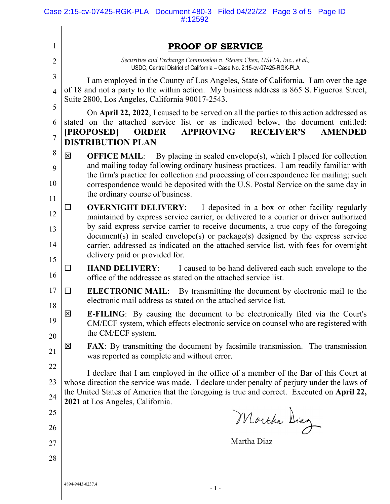| 1                                                                                                                                                                                                    | PROOF OF SERVICE                                                                                                                                                                                                                                                                                         |  |  |  |
|------------------------------------------------------------------------------------------------------------------------------------------------------------------------------------------------------|----------------------------------------------------------------------------------------------------------------------------------------------------------------------------------------------------------------------------------------------------------------------------------------------------------|--|--|--|
| $\overline{2}$                                                                                                                                                                                       | Securities and Exchange Commission v. Steven Chen, USFIA, Inc., et al.,                                                                                                                                                                                                                                  |  |  |  |
| 3                                                                                                                                                                                                    | USDC, Central District of California - Case No. 2:15-cv-07425-RGK-PLA                                                                                                                                                                                                                                    |  |  |  |
| $\overline{4}$                                                                                                                                                                                       | I am employed in the County of Los Angeles, State of California. I am over the age<br>of 18 and not a party to the within action. My business address is 865 S. Figueroa Street,                                                                                                                         |  |  |  |
|                                                                                                                                                                                                      | Suite 2800, Los Angeles, California 90017-2543.                                                                                                                                                                                                                                                          |  |  |  |
|                                                                                                                                                                                                      | On April 22, 2022, I caused to be served on all the parties to this action addressed as<br>stated on the attached service list or as indicated below, the document entitled:                                                                                                                             |  |  |  |
|                                                                                                                                                                                                      | [PROPOSED]<br><b>APPROVING</b><br><b>RECEIVER'S</b><br><b>AMENDED</b><br><b>ORDER</b>                                                                                                                                                                                                                    |  |  |  |
|                                                                                                                                                                                                      | <b>DISTRIBUTION PLAN</b>                                                                                                                                                                                                                                                                                 |  |  |  |
|                                                                                                                                                                                                      | 区<br><b>OFFICE MAIL:</b> By placing in sealed envelope(s), which I placed for collection<br>and mailing today following ordinary business practices. I am readily familiar with                                                                                                                          |  |  |  |
|                                                                                                                                                                                                      | the firm's practice for collection and processing of correspondence for mailing; such<br>correspondence would be deposited with the U.S. Postal Service on the same day in<br>the ordinary course of business.                                                                                           |  |  |  |
| I deposited in a box or other facility regularly<br><b>OVERNIGHT DELIVERY:</b><br>$\Box$<br>maintained by express service carrier, or delivered to a courier or driver authorized                    |                                                                                                                                                                                                                                                                                                          |  |  |  |
|                                                                                                                                                                                                      | by said express service carrier to receive documents, a true copy of the foregoing<br>$document(s)$ in sealed envelope $(s)$ or package $(s)$ designed by the express service<br>carrier, addressed as indicated on the attached service list, with fees for overnight<br>delivery paid or provided for. |  |  |  |
| <b>HAND DELIVERY:</b> I caused to be hand delivered each such envelope to the<br>ப<br>office of the addressee as stated on the attached service list.                                                |                                                                                                                                                                                                                                                                                                          |  |  |  |
| <b>ELECTRONIC MAIL:</b> By transmitting the document by electronic mail to the<br>□<br>electronic mail address as stated on the attached service list.                                               |                                                                                                                                                                                                                                                                                                          |  |  |  |
| 区<br><b>E-FILING:</b> By causing the document to be electronically filed via the Court's<br>CM/ECF system, which effects electronic service on counsel who are registered with<br>the CM/ECF system. |                                                                                                                                                                                                                                                                                                          |  |  |  |
|                                                                                                                                                                                                      | 区<br><b>FAX:</b> By transmitting the document by facsimile transmission. The transmission<br>was reported as complete and without error.                                                                                                                                                                 |  |  |  |
|                                                                                                                                                                                                      | I declare that I am employed in the office of a member of the Bar of this Court at                                                                                                                                                                                                                       |  |  |  |
|                                                                                                                                                                                                      | whose direction the service was made. I declare under penalty of perjury under the laws of                                                                                                                                                                                                               |  |  |  |
|                                                                                                                                                                                                      | the United States of America that the foregoing is true and correct. Executed on April 22,<br>2021 at Los Angeles, California.                                                                                                                                                                           |  |  |  |
| 25                                                                                                                                                                                                   | Marcha Diag                                                                                                                                                                                                                                                                                              |  |  |  |
| 26                                                                                                                                                                                                   |                                                                                                                                                                                                                                                                                                          |  |  |  |
| 27                                                                                                                                                                                                   | Martha Diaz                                                                                                                                                                                                                                                                                              |  |  |  |
| 28                                                                                                                                                                                                   |                                                                                                                                                                                                                                                                                                          |  |  |  |
|                                                                                                                                                                                                      | 4894-9443-0237.4<br>$-1-$                                                                                                                                                                                                                                                                                |  |  |  |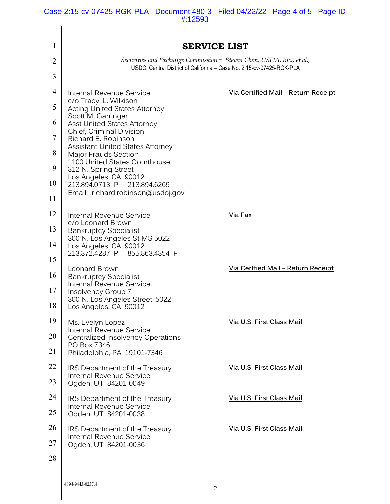Case 2:15-cv-07425-RGK-PLA Document 480-3 Filed 04/22/22 Page 4 of 5 Page ID #:12593

| 1              | <b>SERVICE LIST</b>                                                                                                                                                                 |                                            |
|----------------|-------------------------------------------------------------------------------------------------------------------------------------------------------------------------------------|--------------------------------------------|
| 2              | Securities and Exchange Commission v. Steven Chen, USFIA, Inc., et al.,<br>USDC, Central District of California - Case No. 2:15-cv-07425-RGK-PLA                                    |                                            |
| 3              |                                                                                                                                                                                     |                                            |
| $\overline{4}$ | Internal Revenue Service<br>c/o Tracy. L. Wilkison                                                                                                                                  | <u>Via Certified Mail - Return Receipt</u> |
| 5              | <b>Acting United States Attorney</b><br>Scott M. Garringer                                                                                                                          |                                            |
| 6              | <b>Asst United States Attorney</b><br>Chief, Criminal Division                                                                                                                      |                                            |
| $\tau$         | Richard E. Robinson<br>Assistant United States Attorney                                                                                                                             |                                            |
| 8              | <b>Major Frauds Section</b><br>1100 United States Courthouse<br>312 N. Spring Street<br>Los Angeles, CA 90012<br>213.894.0713 P   213.894.6269<br>Email: richard.robinson@usdoj.gov |                                            |
| 9              |                                                                                                                                                                                     |                                            |
| 10             |                                                                                                                                                                                     |                                            |
| 11             |                                                                                                                                                                                     |                                            |
| 12             | Internal Revenue Service<br>c/o Leonard Brown                                                                                                                                       | Via Fax                                    |
| 13             | <b>Bankruptcy Specialist</b><br>300 N. Los Angeles St MS 5022                                                                                                                       |                                            |
| 14             | Los Angeles, CA 90012<br>213.372.4287 P   855.863.4354 F                                                                                                                            |                                            |
| 15             | Leonard Brown                                                                                                                                                                       | <u>Via Certfied Mail - Return Receipt</u>  |
| 16<br>17       | <b>Bankruptcy Specialist</b><br>Internal Revenue Service                                                                                                                            |                                            |
| 18             | Insolvency Group 7<br>300 N. Los Angeles Street, 5022                                                                                                                               |                                            |
| 19             | os Angeles, CA 90012                                                                                                                                                                | Via U.S. First Class Mail                  |
| 20             | Ms. Evelyn Lopez<br>Internal Revenue Service                                                                                                                                        |                                            |
| 21             | Centralized Insolvency Operations<br>PO Box 7346                                                                                                                                    |                                            |
| 22             | Philadelphia, PA 19101-7346<br>IRS Department of the Treasury                                                                                                                       | Via U.S. First Class Mail                  |
| 23             | <b>Internal Revenue Service</b><br>Ogden, UT 84201-0049                                                                                                                             |                                            |
| 24             | IRS Department of the Treasury                                                                                                                                                      | Via U.S. First Class Mail                  |
| 25             | Internal Revenue Service<br>Ogden, UT 84201-0038                                                                                                                                    |                                            |
| 26             | IRS Department of the Treasury                                                                                                                                                      | Via U.S. First Class Mail                  |
| 27             | <b>Internal Revenue Service</b><br>Ogden, UT 84201-0036                                                                                                                             |                                            |
| 28             |                                                                                                                                                                                     |                                            |
|                |                                                                                                                                                                                     |                                            |